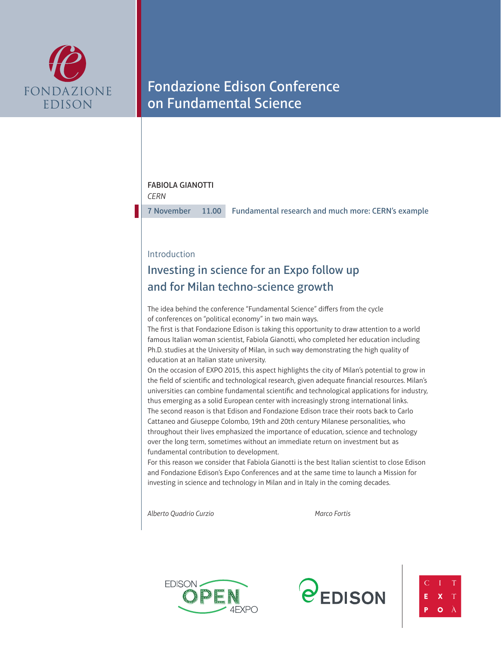

# Fondazione Edison Conference on Fundamental Science

### FABIOLA GIANOTTI

*CERN*

7 November 11.00 Fundamental research and much more: CERN's example

### Introduction

## Investing in science for an Expo follow up and for Milan techno-science growth

The idea behind the conference "Fundamental Science" differs from the cycle of conferences on "political economy" in two main ways.

The first is that Fondazione Edison is taking this opportunity to draw attention to a world famous Italian woman scientist, Fabiola Gianotti, who completed her education including Ph.D. studies at the University of Milan, in such way demonstrating the high quality of education at an Italian state university.

On the occasion of EXPO 2015, this aspect highlights the city of Milan's potential to grow in the field of scientific and technological research, given adequate financial resources. Milan's universities can combine fundamental scientific and technological applications for industry, thus emerging as a solid European center with increasingly strong international links. The second reason is that Edison and Fondazione Edison trace their roots back to Carlo Cattaneo and Giuseppe Colombo, 19th and 20th century Milanese personalities, who throughout their lives emphasized the importance of education, science and technology over the long term, sometimes without an immediate return on investment but as fundamental contribution to development.

For this reason we consider that Fabiola Gianotti is the best Italian scientist to close Edison and Fondazione Edison's Expo Conferences and at the same time to launch a Mission for investing in science and technology in Milan and in Italy in the coming decades.

*Alberto Quadrio Curzio Marco Fortis*